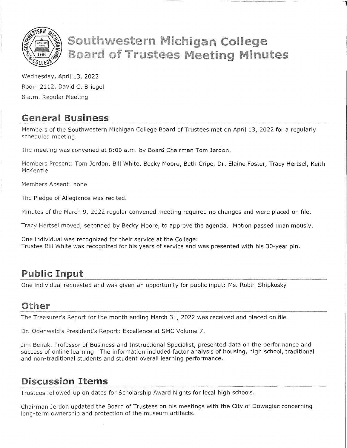

# **Southwestern Michigan College Board of Trustees Meeting Minutes**

Wednesday, April 13, 2022 Room 2112, David C. Briegel 8 a.m. Regular Meeting

## **General** Business

Members of the Southwestern Michigan College Board of Trustees met on April 13, 2022 for a regularly scheduled meeting.

The meeting was convened at 8:00 a.m. by Board Chairman Tom Jerdon.

Members Present: Tom Jerdon, Bill White, Becky Moore, Beth Cripe, Dr. Elaine Foster, Tracy Hertsel, Keith McKenzie

Members Absent: none

The Pledge of Allegiance was recited.

Minutes of the March 9, 2022 regular convened meeting required no changes and were placed on file.

Tracy Hertsel moved, seconded by Becky Moore, to approve the agenda. Motion passed unanimousiy.

One individual was recognized for their service at the College: Trustee Bill White was recognized for his years of service and was presented with his 30-year pin.

## **Public** Input

One individual requested and was given an opportunity for public input: Ms. Robin Shipkosky

### **Other**

The Treasurer's Report for the month ending March 31, 2022 was received and placed on file.

Dr. Odenwald's President's Report: Excellence at SMC Volume 7.

Jim Benak, Professor of Business and Instructional Specialist, presented data on the performance and success of online learning. The information included factor analysis of housing, high school, traditional and non-traditional students and student overall learning performance.

## **Discussion** Items

Trustees followed-up on dates for Scholarship Award Nights for local high schools.

Chairman Jerdon updated the Board of Trustees on his meetings with the City of Dowagiac concerning long-term ownership and protection of the museum artifacts.